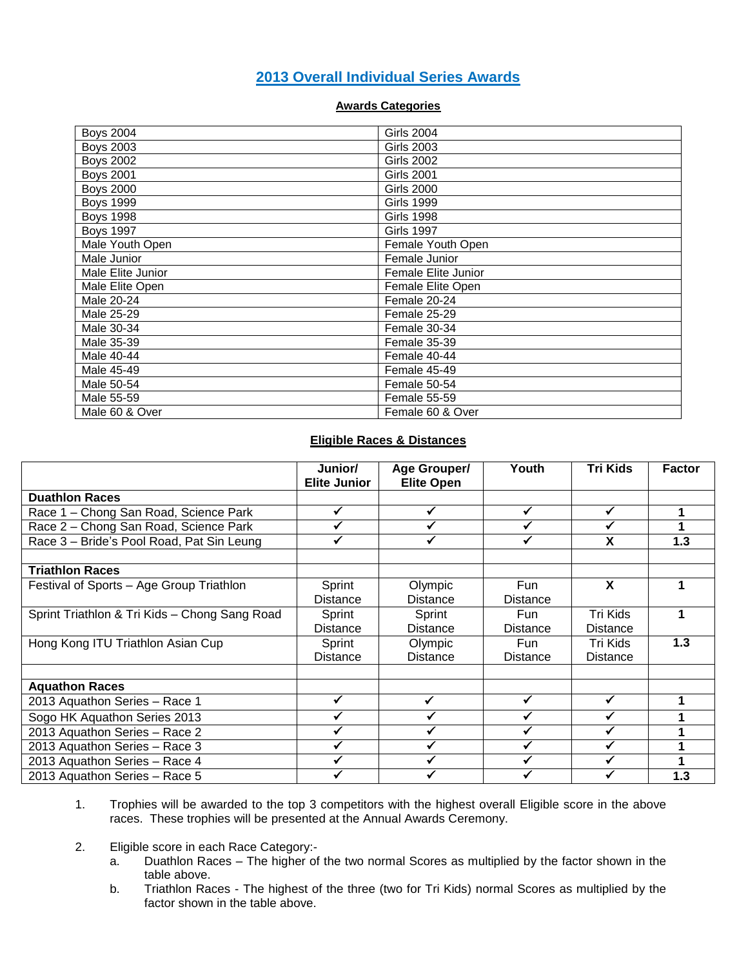## **2013 Overall Individual Series Awards**

#### **Awards Categories**

| <b>Boys 2004</b>  | <b>Girls 2004</b>   |
|-------------------|---------------------|
| <b>Boys 2003</b>  | <b>Girls 2003</b>   |
| <b>Boys 2002</b>  | <b>Girls 2002</b>   |
| <b>Boys 2001</b>  | <b>Girls 2001</b>   |
| <b>Boys 2000</b>  | <b>Girls 2000</b>   |
| <b>Boys 1999</b>  | <b>Girls 1999</b>   |
| <b>Boys 1998</b>  | <b>Girls 1998</b>   |
| <b>Boys 1997</b>  | <b>Girls 1997</b>   |
| Male Youth Open   | Female Youth Open   |
| Male Junior       | Female Junior       |
| Male Elite Junior | Female Elite Junior |
| Male Elite Open   | Female Elite Open   |
| Male 20-24        | Female 20-24        |
| Male 25-29        | Female 25-29        |
| Male 30-34        | Female 30-34        |
| Male 35-39        | Female 35-39        |
| Male 40-44        | Female 40-44        |
| Male 45-49        | Female 45-49        |
| Male 50-54        | Female 50-54        |
| Male 55-59        | <b>Female 55-59</b> |
| Male 60 & Over    | Female 60 & Over    |

### **Eligible Races & Distances**

|                                               | Junior/<br><b>Elite Junior</b> | Age Grouper/<br><b>Elite Open</b> | Youth           | <b>Tri Kids</b> | <b>Factor</b> |
|-----------------------------------------------|--------------------------------|-----------------------------------|-----------------|-----------------|---------------|
| <b>Duathlon Races</b>                         |                                |                                   |                 |                 |               |
| Race 1 - Chong San Road, Science Park         | ✓                              |                                   | ✔               |                 |               |
| Race 2 - Chong San Road, Science Park         |                                |                                   |                 |                 |               |
| Race 3 - Bride's Pool Road, Pat Sin Leung     | ✔                              | ✔                                 |                 | X               | 1.3           |
|                                               |                                |                                   |                 |                 |               |
| <b>Triathlon Races</b>                        |                                |                                   |                 |                 |               |
| Festival of Sports - Age Group Triathlon      | Sprint                         | Olympic                           | Fun             | X               |               |
|                                               | <b>Distance</b>                | <b>Distance</b>                   | <b>Distance</b> |                 |               |
| Sprint Triathlon & Tri Kids - Chong Sang Road | Sprint                         | Sprint                            | <b>Fun</b>      | Tri Kids        |               |
|                                               | <b>Distance</b>                | <b>Distance</b>                   | <b>Distance</b> | <b>Distance</b> |               |
| Hong Kong ITU Triathlon Asian Cup             | Sprint                         | Olympic                           | <b>Fun</b>      | Tri Kids        | 1.3           |
|                                               | <b>Distance</b>                | <b>Distance</b>                   | <b>Distance</b> | <b>Distance</b> |               |
|                                               |                                |                                   |                 |                 |               |
| <b>Aquathon Races</b>                         |                                |                                   |                 |                 |               |
| 2013 Aquathon Series - Race 1                 |                                |                                   |                 |                 |               |
| Sogo HK Aquathon Series 2013                  |                                |                                   |                 |                 |               |
| 2013 Aquathon Series - Race 2                 |                                |                                   |                 |                 |               |
| 2013 Aquathon Series - Race 3                 | ✓                              |                                   |                 |                 |               |
| 2013 Aquathon Series - Race 4                 | ✔                              |                                   |                 |                 |               |
| 2013 Aquathon Series - Race 5                 |                                |                                   |                 |                 | 1.3           |

- 1. Trophies will be awarded to the top 3 competitors with the highest overall Eligible score in the above races. These trophies will be presented at the Annual Awards Ceremony.
- 2. Eligible score in each Race Category:
	- a. Duathlon Races The higher of the two normal Scores as multiplied by the factor shown in the table above.
	- b. Triathlon Races The highest of the three (two for Tri Kids) normal Scores as multiplied by the factor shown in the table above.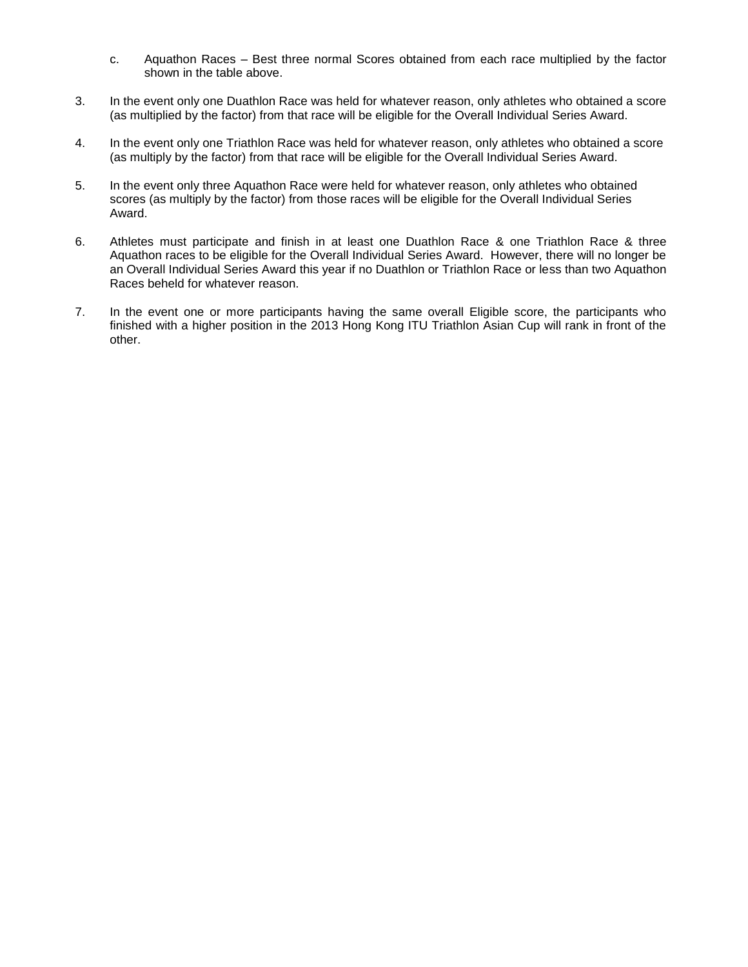- c. Aquathon Races Best three normal Scores obtained from each race multiplied by the factor shown in the table above.
- 3. In the event only one Duathlon Race was held for whatever reason, only athletes who obtained a score (as multiplied by the factor) from that race will be eligible for the Overall Individual Series Award.
- 4. In the event only one Triathlon Race was held for whatever reason, only athletes who obtained a score (as multiply by the factor) from that race will be eligible for the Overall Individual Series Award.
- 5. In the event only three Aquathon Race were held for whatever reason, only athletes who obtained scores (as multiply by the factor) from those races will be eligible for the Overall Individual Series Award.
- 6. Athletes must participate and finish in at least one Duathlon Race & one Triathlon Race & three Aquathon races to be eligible for the Overall Individual Series Award. However, there will no longer be an Overall Individual Series Award this year if no Duathlon or Triathlon Race or less than two Aquathon Races beheld for whatever reason.
- 7. In the event one or more participants having the same overall Eligible score, the participants who finished with a higher position in the 2013 Hong Kong ITU Triathlon Asian Cup will rank in front of the other.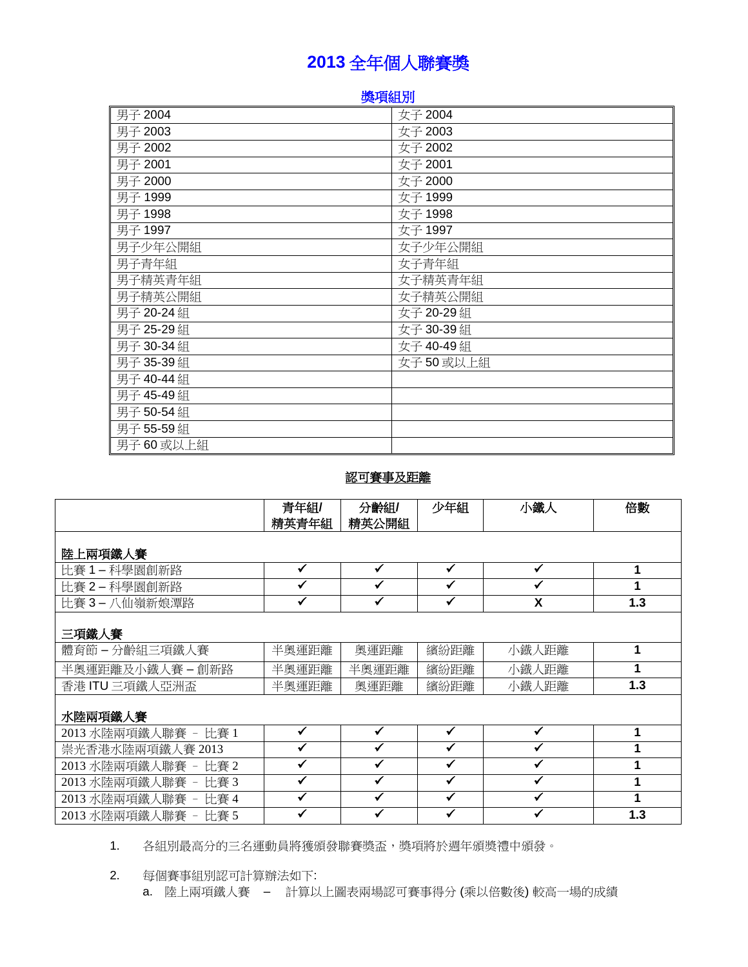# **2013** 全年個人聯賽獎

# 獎項組別

| 男子 2004    | 女子 2004    |
|------------|------------|
| 男子 2003    | 女子 2003    |
| 男子 2002    | 女子 2002    |
| 男子 2001    | 女子 2001    |
| 男子 2000    | 女子 2000    |
| 男子 1999    | 女子 1999    |
| 男子 1998    | 女子 1998    |
| 男子 1997    | 女子 1997    |
| 男子少年公開組    | 女子少年公開組    |
| 男子青年組      | 女子青年組      |
| 男子精英青年組    | 女子精英青年組    |
| 男子精英公開組    | 女子精英公開組    |
| 男子 20-24 組 | 女子 20-29 組 |
| 男子 25-29 組 | 女子 30-39 組 |
| 男子 30-34 組 | 女子 40-49 組 |
| 男子 35-39 組 | 女子50或以上組   |
| 男子 40-44 組 |            |
| 男子 45-49 組 |            |
| 男子 50-54 組 |            |
| 男子 55-59 組 |            |
| 男子60或以上組   |            |

### 認可賽事及距離

|                         | 青年組/                 | 分齡組/         | 少年組          | 小鐵人   | 倍數  |
|-------------------------|----------------------|--------------|--------------|-------|-----|
|                         | 精英青年組                | 精英公開組        |              |       |     |
| 陸上兩項鐵人賽                 |                      |              |              |       |     |
| 比賽1-科學園創新路              | ✔                    | ✔            | ✓            | ✓     | 1   |
| 比賽2-科學園創新路              |                      | ✓            | ✓            | ✓     |     |
| 比賽3-八仙嶺新娘潭路             |                      | ✓            | ✓            | X     | 1.3 |
| 三項鐵人賽                   |                      |              |              |       |     |
| 體育節 – 分齡組三項鐵人賽          | 半奧運距離                | 奧運距離         | 繽紛距離         | 小鐡人距離 | 1   |
| 半奧運距離及小鐵人賽 - 創新路        | 半奧運距離                | 半奧運距離        | 繽紛距離         | 小鐡人距離 | 1   |
| 香港ITU三項鐵人亞洲盃            | 半奧運距離                | 奧運距離         | 繽紛距離         | 小鐡人距離 | 1.3 |
| 水陸兩項鐵人賽                 |                      |              |              |       |     |
| 2013 水陸兩項鐵人聯賽 - 比賽 1    | ✓                    | ✓            | ✓            | ✓     |     |
| 崇光香港水陸兩項鐵人賽 2013        | $\checkmark$         | ✔            | ✓            | ✓     |     |
| 2013 水陸兩項鐵人聯賽<br>比賽2    |                      | ✓            | ✓            | ✓     |     |
| 2013 水陸兩項鐵人聯賽 -<br>比賽3  | $\tilde{\mathbf{v}}$ | $\checkmark$ | $\checkmark$ | ✓     | 1   |
| 2013 水陸兩項鐵人聯賽 -<br>比賽 4 | ✔                    | ✔            | $\checkmark$ | ✓     | 1   |
| 2013 水陸兩項鐵人聯賽 -<br>比賽 5 |                      | ✓            | ✓            | ✓     | 1.3 |

1. 各組別最高分的三名運動員將獲頒發聯賽獎盃,獎項將於週年頒獎禮中頒發。

2. 每個賽事組別認可計算辦法如下:

a. 陸上兩項鐵人賽 – 計算以上圖表兩場認可賽事得分 (乘以倍數後) 較高一場的成績